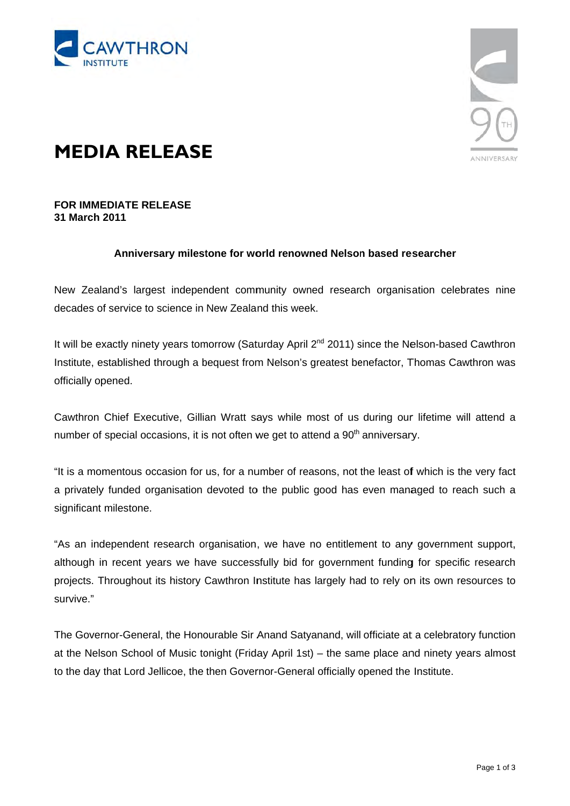



## **MEDIA RELEASE**

## **FOR IMMEDIATE RELEASE** 31 March 2011

## Anniversary milestone for world renowned Nelson based researcher

New Zealand's largest independent community owned research organisation celebrates nine decades of service to science in New Zealand this week.

It will be exactly ninety years tomorrow (Saturday April  $2^{nd}$  2011) since the Nelson-based Cawthron Institute, established through a bequest from Nelson's greatest benefactor, Thomas Cawthron was officially opened.

Cawthron Chief Executive. Gillian Wratt savs while most of us during our lifetime will attend a number of special occasions, it is not often we get to attend a 90<sup>th</sup> anniversary.

"It is a momentous occasion for us, for a number of reasons, not the least of which is the very fact a privately funded organisation devoted to the public good has even managed to reach such a significant milestone.

"As an independent research organisation, we have no entitlement to any government support. although in recent years we have successfully bid for government funding for specific research projects. Throughout its history Cawthron Institute has largely had to rely on its own resources to survive."

The Governor-General, the Honourable Sir Anand Satyanand, will officiate at a celebratory function at the Nelson School of Music tonight (Friday April 1st) – the same place and ninety years almost to the day that Lord Jellicoe, the then Governor-General officially opened the Institute.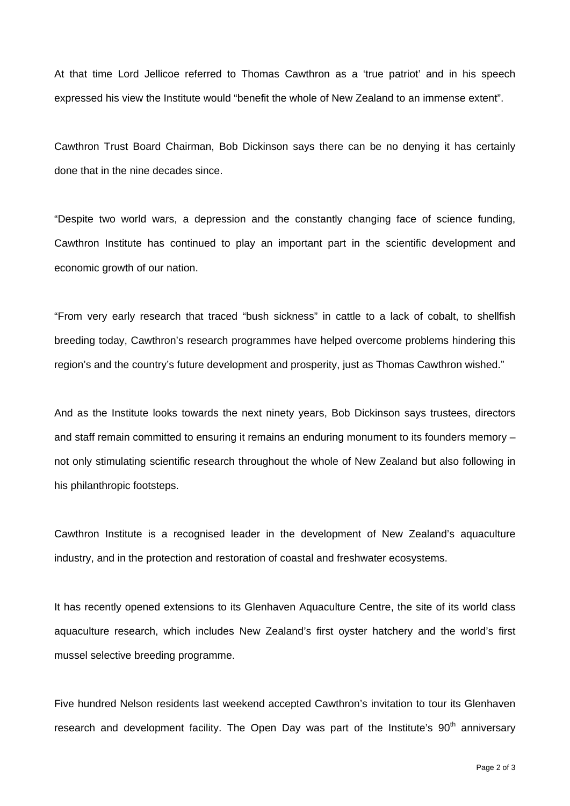At that time Lord Jellicoe referred to Thomas Cawthron as a 'true patriot' and in his speech expressed his view the Institute would "benefit the whole of New Zealand to an immense extent".

Cawthron Trust Board Chairman, Bob Dickinson says there can be no denying it has certainly done that in the nine decades since.

"Despite two world wars, a depression and the constantly changing face of science funding, Cawthron Institute has continued to play an important part in the scientific development and economic growth of our nation.

"From very early research that traced "bush sickness" in cattle to a lack of cobalt, to shellfish breeding today, Cawthron's research programmes have helped overcome problems hindering this region's and the country's future development and prosperity, just as Thomas Cawthron wished."

And as the Institute looks towards the next ninety years, Bob Dickinson says trustees, directors and staff remain committed to ensuring it remains an enduring monument to its founders memory – not only stimulating scientific research throughout the whole of New Zealand but also following in his philanthropic footsteps.

Cawthron Institute is a recognised leader in the development of New Zealand's aquaculture industry, and in the protection and restoration of coastal and freshwater ecosystems.

It has recently opened extensions to its Glenhaven Aquaculture Centre, the site of its world class aquaculture research, which includes New Zealand's first oyster hatchery and the world's first mussel selective breeding programme.

Five hundred Nelson residents last weekend accepted Cawthron's invitation to tour its Glenhaven research and development facility. The Open Day was part of the Institute's 90<sup>th</sup> anniversarv